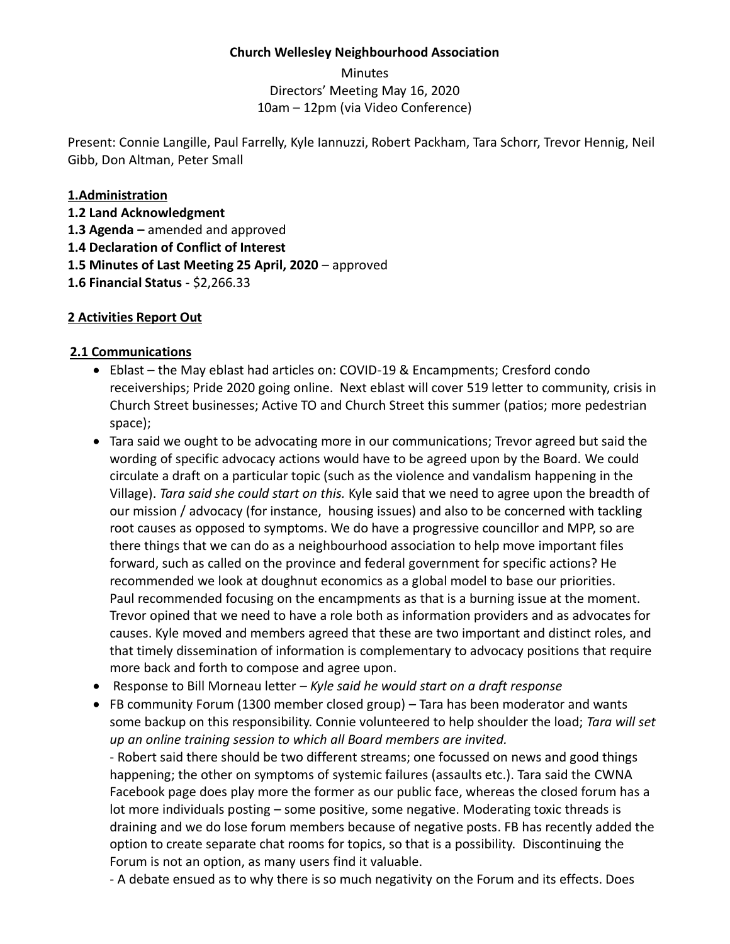#### **Church Wellesley Neighbourhood Association**

Minutes Directors' Meeting May 16, 2020 10am – 12pm (via Video Conference)

Present: Connie Langille, Paul Farrelly, Kyle Iannuzzi, Robert Packham, Tara Schorr, Trevor Hennig, Neil Gibb, Don Altman, Peter Small

#### **1.Administration**

**1.2 Land Acknowledgment 1.3 Agenda –** amended and approved **1.4 Declaration of Conflict of Interest**

**1.5 Minutes of Last Meeting 25 April, 2020** – approved

**1.6 Financial Status** - \$2,266.33

### **2 Activities Report Out**

#### **2.1 Communications**

- Eblast the May eblast had articles on: COVID-19 & Encampments; Cresford condo receiverships; Pride 2020 going online. Next eblast will cover 519 letter to community, crisis in Church Street businesses; Active TO and Church Street this summer (patios; more pedestrian space);
- Tara said we ought to be advocating more in our communications; Trevor agreed but said the wording of specific advocacy actions would have to be agreed upon by the Board. We could circulate a draft on a particular topic (such as the violence and vandalism happening in the Village). *Tara said she could start on this.* Kyle said that we need to agree upon the breadth of our mission / advocacy (for instance, housing issues) and also to be concerned with tackling root causes as opposed to symptoms. We do have a progressive councillor and MPP, so are there things that we can do as a neighbourhood association to help move important files forward, such as called on the province and federal government for specific actions? He recommended we look at doughnut economics as a global model to base our priorities. Paul recommended focusing on the encampments as that is a burning issue at the moment. Trevor opined that we need to have a role both as information providers and as advocates for causes. Kyle moved and members agreed that these are two important and distinct roles, and that timely dissemination of information is complementary to advocacy positions that require more back and forth to compose and agree upon.
- Response to Bill Morneau letter *Kyle said he would start on a draft response*
- FB community Forum (1300 member closed group) Tara has been moderator and wants some backup on this responsibility. Connie volunteered to help shoulder the load; *Tara will set up an online training session to which all Board members are invited.*

- Robert said there should be two different streams; one focussed on news and good things happening; the other on symptoms of systemic failures (assaults etc.). Tara said the CWNA Facebook page does play more the former as our public face, whereas the closed forum has a lot more individuals posting – some positive, some negative. Moderating toxic threads is draining and we do lose forum members because of negative posts. FB has recently added the option to create separate chat rooms for topics, so that is a possibility. Discontinuing the Forum is not an option, as many users find it valuable.

- A debate ensued as to why there is so much negativity on the Forum and its effects. Does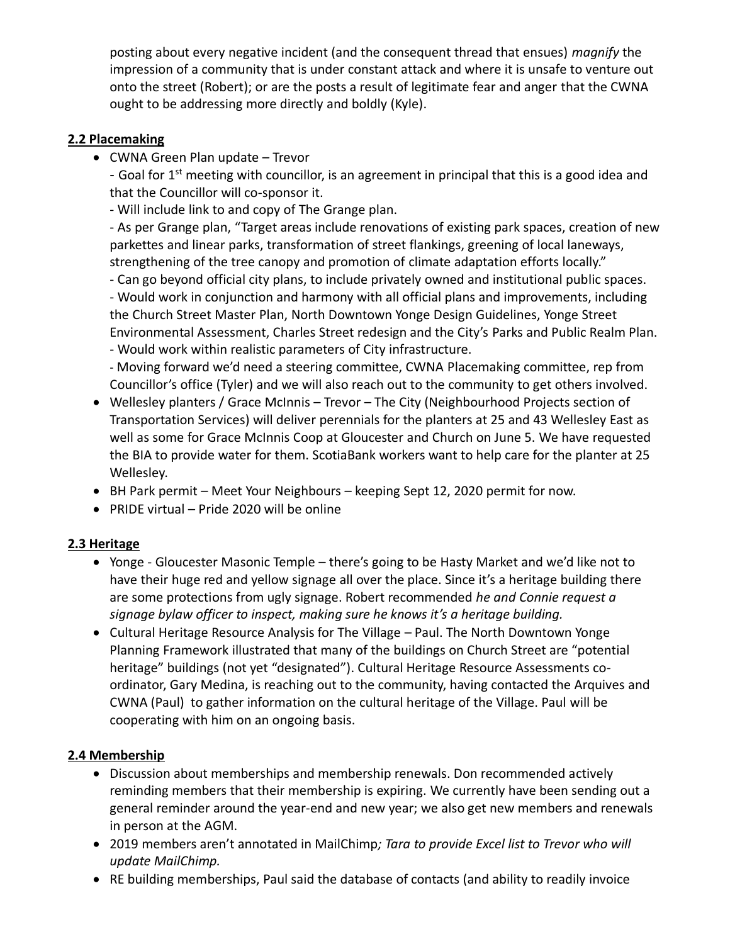posting about every negative incident (and the consequent thread that ensues) *magnify* the impression of a community that is under constant attack and where it is unsafe to venture out onto the street (Robert); or are the posts a result of legitimate fear and anger that the CWNA ought to be addressing more directly and boldly (Kyle).

## **2.2 Placemaking**

• CWNA Green Plan update – Trevor

- Goal for 1<sup>st</sup> meeting with councillor, is an agreement in principal that this is a good idea and that the Councillor will co-sponsor it.

- Will include link to and copy of The Grange plan.

- As per Grange plan, "Target areas include renovations of existing park spaces, creation of new parkettes and linear parks, transformation of street flankings, greening of local laneways, strengthening of the tree canopy and promotion of climate adaptation efforts locally."

- Can go beyond official city plans, to include privately owned and institutional public spaces. - Would work in conjunction and harmony with all official plans and improvements, including the Church Street Master Plan, North Downtown Yonge Design Guidelines, Yonge Street Environmental Assessment, Charles Street redesign and the City's Parks and Public Realm Plan. - Would work within realistic parameters of City infrastructure.

- Moving forward we'd need a steering committee, CWNA Placemaking committee, rep from Councillor's office (Tyler) and we will also reach out to the community to get others involved.

- Wellesley planters / Grace McInnis Trevor The City (Neighbourhood Projects section of Transportation Services) will deliver perennials for the planters at 25 and 43 Wellesley East as well as some for Grace McInnis Coop at Gloucester and Church on June 5. We have requested the BIA to provide water for them. ScotiaBank workers want to help care for the planter at 25 Wellesley.
- BH Park permit Meet Your Neighbours keeping Sept 12, 2020 permit for now.
- PRIDE virtual Pride 2020 will be online

# **2.3 Heritage**

- Yonge Gloucester Masonic Temple there's going to be Hasty Market and we'd like not to have their huge red and yellow signage all over the place. Since it's a heritage building there are some protections from ugly signage. Robert recommended *he and Connie request a signage bylaw officer to inspect, making sure he knows it's a heritage building.*
- Cultural Heritage Resource Analysis for The Village Paul. The North Downtown Yonge Planning Framework illustrated that many of the buildings on Church Street are "potential heritage" buildings (not yet "designated"). Cultural Heritage Resource Assessments coordinator, Gary Medina, is reaching out to the community, having contacted the Arquives and CWNA (Paul) to gather information on the cultural heritage of the Village. Paul will be cooperating with him on an ongoing basis.

### **2.4 Membership**

- Discussion about memberships and membership renewals. Don recommended actively reminding members that their membership is expiring. We currently have been sending out a general reminder around the year-end and new year; we also get new members and renewals in person at the AGM.
- 2019 members aren't annotated in MailChimp*; Tara to provide Excel list to Trevor who will update MailChimp.*
- RE building memberships, Paul said the database of contacts (and ability to readily invoice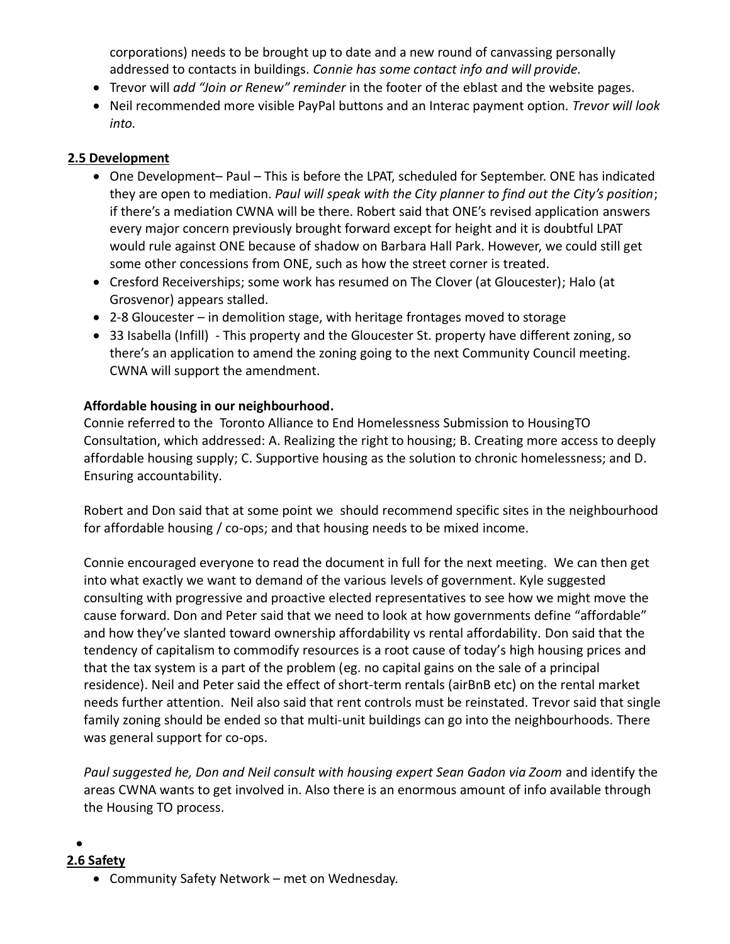corporations) needs to be brought up to date and a new round of canvassing personally addressed to contacts in buildings. *Connie has some contact info and will provide.*

- Trevor will *add "Join or Renew" reminder* in the footer of the eblast and the website pages.
- Neil recommended more visible PayPal buttons and an Interac payment option. *Trevor will look into.*

## **2.5 Development**

- One Development– Paul This is before the LPAT, scheduled for September. ONE has indicated they are open to mediation. *Paul will speak with the City planner to find out the City's position*; if there's a mediation CWNA will be there. Robert said that ONE's revised application answers every major concern previously brought forward except for height and it is doubtful LPAT would rule against ONE because of shadow on Barbara Hall Park. However, we could still get some other concessions from ONE, such as how the street corner is treated.
- Cresford Receiverships; some work has resumed on The Clover (at Gloucester); Halo (at Grosvenor) appears stalled.
- 2-8 Gloucester in demolition stage, with heritage frontages moved to storage
- 33 Isabella (Infill) This property and the Gloucester St. property have different zoning, so there's an application to amend the zoning going to the next Community Council meeting. CWNA will support the amendment.

## **Affordable housing in our neighbourhood.**

Connie referred to the Toronto Alliance to End Homelessness Submission to HousingTO Consultation, which addressed: A. Realizing the right to housing; B. Creating more access to deeply affordable housing supply; C. Supportive housing as the solution to chronic homelessness; and D. Ensuring accountability.

Robert and Don said that at some point we should recommend specific sites in the neighbourhood for affordable housing / co-ops; and that housing needs to be mixed income.

Connie encouraged everyone to read the document in full for the next meeting. We can then get into what exactly we want to demand of the various levels of government. Kyle suggested consulting with progressive and proactive elected representatives to see how we might move the cause forward. Don and Peter said that we need to look at how governments define "affordable" and how they've slanted toward ownership affordability vs rental affordability. Don said that the tendency of capitalism to commodify resources is a root cause of today's high housing prices and that the tax system is a part of the problem (eg. no capital gains on the sale of a principal residence). Neil and Peter said the effect of short-term rentals (airBnB etc) on the rental market needs further attention. Neil also said that rent controls must be reinstated. Trevor said that single family zoning should be ended so that multi-unit buildings can go into the neighbourhoods. There was general support for co-ops.

*Paul suggested he, Don and Neil consult with housing expert Sean Gadon via Zoom* and identify the areas CWNA wants to get involved in. Also there is an enormous amount of info available through the Housing TO process.

#### •

### **2.6 Safety**

• Community Safety Network – met on Wednesday.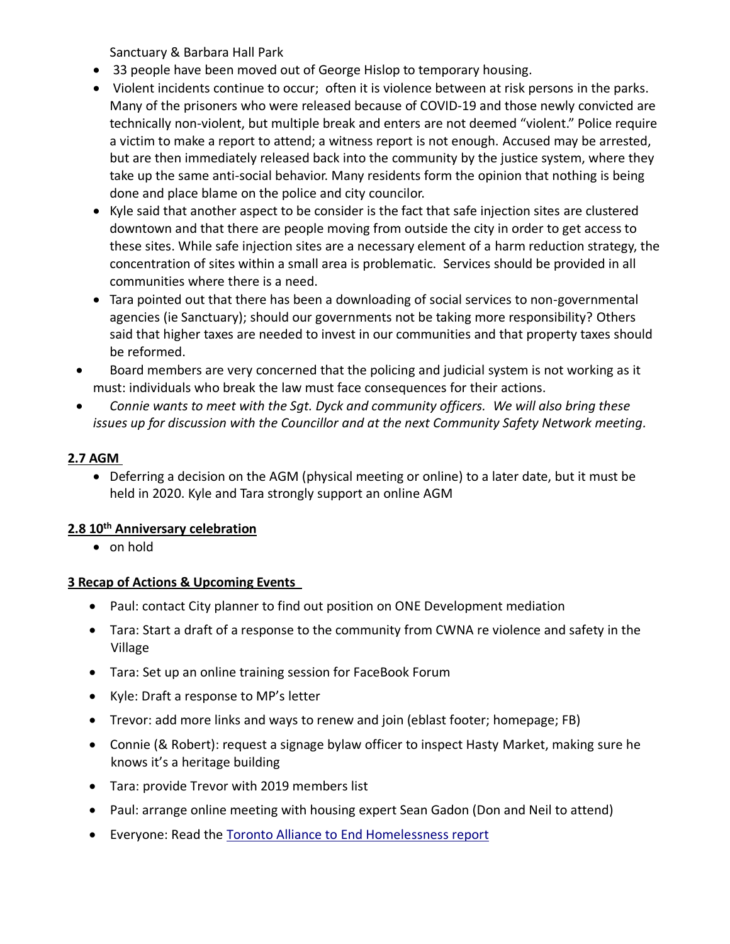Sanctuary & Barbara Hall Park

- 33 people have been moved out of George Hislop to temporary housing.
- Violent incidents continue to occur; often it is violence between at risk persons in the parks. Many of the prisoners who were released because of COVID-19 and those newly convicted are technically non-violent, but multiple break and enters are not deemed "violent." Police require a victim to make a report to attend; a witness report is not enough. Accused may be arrested, but are then immediately released back into the community by the justice system, where they take up the same anti-social behavior. Many residents form the opinion that nothing is being done and place blame on the police and city councilor.
- Kyle said that another aspect to be consider is the fact that safe injection sites are clustered downtown and that there are people moving from outside the city in order to get access to these sites. While safe injection sites are a necessary element of a harm reduction strategy, the concentration of sites within a small area is problematic. Services should be provided in all communities where there is a need.
- Tara pointed out that there has been a downloading of social services to non-governmental agencies (ie Sanctuary); should our governments not be taking more responsibility? Others said that higher taxes are needed to invest in our communities and that property taxes should be reformed.
- Board members are very concerned that the policing and judicial system is not working as it must: individuals who break the law must face consequences for their actions.
- *Connie wants to meet with the Sgt. Dyck and community officers. We will also bring these issues up for discussion with the Councillor and at the next Community Safety Network meeting.*

# **2.7 AGM**

• Deferring a decision on the AGM (physical meeting or online) to a later date, but it must be held in 2020. Kyle and Tara strongly support an online AGM

# **2.8 10th Anniversary celebration**

• on hold

# **3 Recap of Actions & Upcoming Events**

- Paul: contact City planner to find out position on ONE Development mediation
- Tara: Start a draft of a response to the community from CWNA re violence and safety in the Village
- Tara: Set up an online training session for FaceBook Forum
- Kyle: Draft a response to MP's letter
- Trevor: add more links and ways to renew and join (eblast footer; homepage; FB)
- Connie (& Robert): request a signage bylaw officer to inspect Hasty Market, making sure he knows it's a heritage building
- Tara: provide Trevor with 2019 members list
- Paul: arrange online meeting with housing expert Sean Gadon (Don and Neil to attend)
- Everyone: Read the [Toronto Alliance to End Homelessness report](https://static1.squarespace.com/static/56c4a231d51cd428ca552a3a/t/5d3a2cd8f79ba40001a5235f/1564093658506/TAEH+submission+HousingTO+-+Final+-+July+19%2C+2019.pdf)